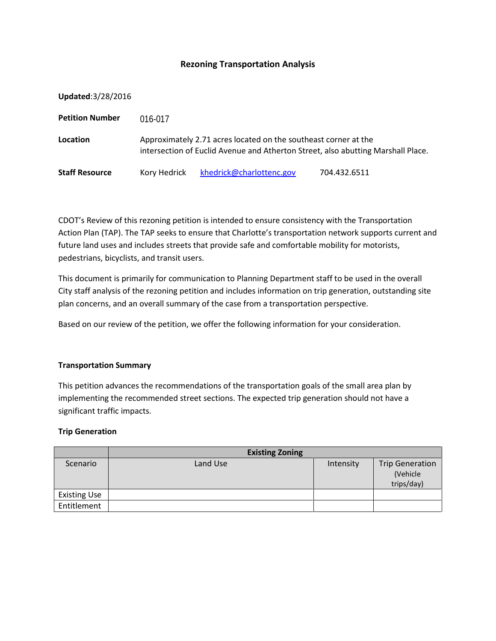# **Rezoning Transportation Analysis**

**Updated**:3/28/2016

| <b>Petition Number</b> | 016-017                                                                                                                                             |                          |              |  |  |  |
|------------------------|-----------------------------------------------------------------------------------------------------------------------------------------------------|--------------------------|--------------|--|--|--|
| Location               | Approximately 2.71 acres located on the southeast corner at the<br>intersection of Euclid Avenue and Atherton Street, also abutting Marshall Place. |                          |              |  |  |  |
| <b>Staff Resource</b>  | Kory Hedrick                                                                                                                                        | khedrick@charlottenc.gov | 704.432.6511 |  |  |  |

CDOT's Review of this rezoning petition is intended to ensure consistency with the Transportation Action Plan (TAP). The TAP seeks to ensure that Charlotte's transportation network supports current and future land uses and includes streets that provide safe and comfortable mobility for motorists, pedestrians, bicyclists, and transit users.

This document is primarily for communication to Planning Department staff to be used in the overall City staff analysis of the rezoning petition and includes information on trip generation, outstanding site plan concerns, and an overall summary of the case from a transportation perspective.

Based on our review of the petition, we offer the following information for your consideration.

### **Transportation Summary**

This petition advances the recommendations of the transportation goals of the small area plan by implementing the recommended street sections. The expected trip generation should not have a significant traffic impacts.

### **Trip Generation**

|                     | <b>Existing Zoning</b> |           |                                                  |
|---------------------|------------------------|-----------|--------------------------------------------------|
| Scenario            | Land Use               | Intensity | <b>Trip Generation</b><br>(Vehicle<br>trips/day) |
| <b>Existing Use</b> |                        |           |                                                  |
| Entitlement         |                        |           |                                                  |